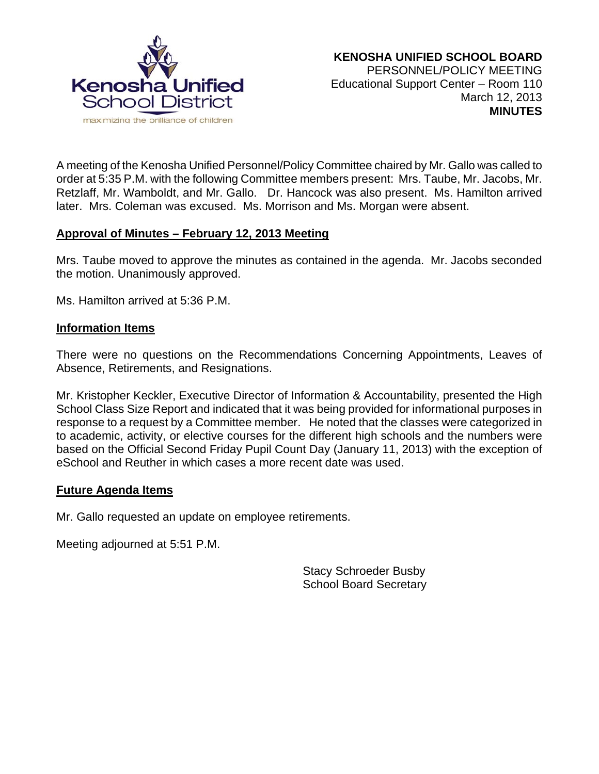

A meeting of the Kenosha Unified Personnel/Policy Committee chaired by Mr. Gallo was called to order at 5:35 P.M. with the following Committee members present: Mrs. Taube, Mr. Jacobs, Mr. Retzlaff, Mr. Wamboldt, and Mr. Gallo. Dr. Hancock was also present. Ms. Hamilton arrived later. Mrs. Coleman was excused. Ms. Morrison and Ms. Morgan were absent.

### **Approval of Minutes – February 12, 2013 Meeting**

Mrs. Taube moved to approve the minutes as contained in the agenda. Mr. Jacobs seconded the motion. Unanimously approved.

Ms. Hamilton arrived at 5:36 P.M.

#### **Information Items**

There were no questions on the Recommendations Concerning Appointments, Leaves of Absence, Retirements, and Resignations.

Mr. Kristopher Keckler, Executive Director of Information & Accountability, presented the High School Class Size Report and indicated that it was being provided for informational purposes in response to a request by a Committee member. He noted that the classes were categorized in to academic, activity, or elective courses for the different high schools and the numbers were based on the Official Second Friday Pupil Count Day (January 11, 2013) with the exception of eSchool and Reuther in which cases a more recent date was used.

#### **Future Agenda Items**

Mr. Gallo requested an update on employee retirements.

Meeting adjourned at 5:51 P.M.

Stacy Schroeder Busby School Board Secretary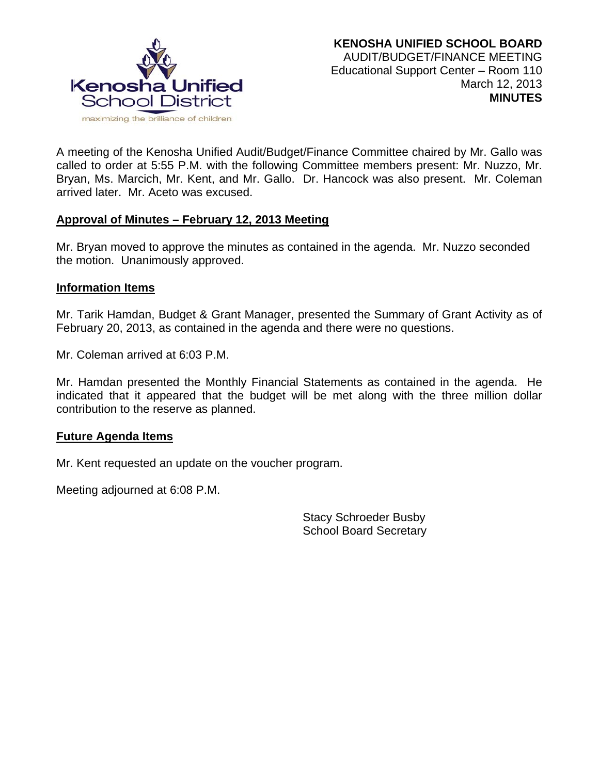

A meeting of the Kenosha Unified Audit/Budget/Finance Committee chaired by Mr. Gallo was called to order at 5:55 P.M. with the following Committee members present: Mr. Nuzzo, Mr. Bryan, Ms. Marcich, Mr. Kent, and Mr. Gallo. Dr. Hancock was also present. Mr. Coleman arrived later. Mr. Aceto was excused.

### **Approval of Minutes – February 12, 2013 Meeting**

Mr. Bryan moved to approve the minutes as contained in the agenda. Mr. Nuzzo seconded the motion. Unanimously approved.

#### **Information Items**

Mr. Tarik Hamdan, Budget & Grant Manager, presented the Summary of Grant Activity as of February 20, 2013, as contained in the agenda and there were no questions.

Mr. Coleman arrived at 6:03 P.M.

Mr. Hamdan presented the Monthly Financial Statements as contained in the agenda. He indicated that it appeared that the budget will be met along with the three million dollar contribution to the reserve as planned.

#### **Future Agenda Items**

Mr. Kent requested an update on the voucher program.

Meeting adjourned at 6:08 P.M.

Stacy Schroeder Busby School Board Secretary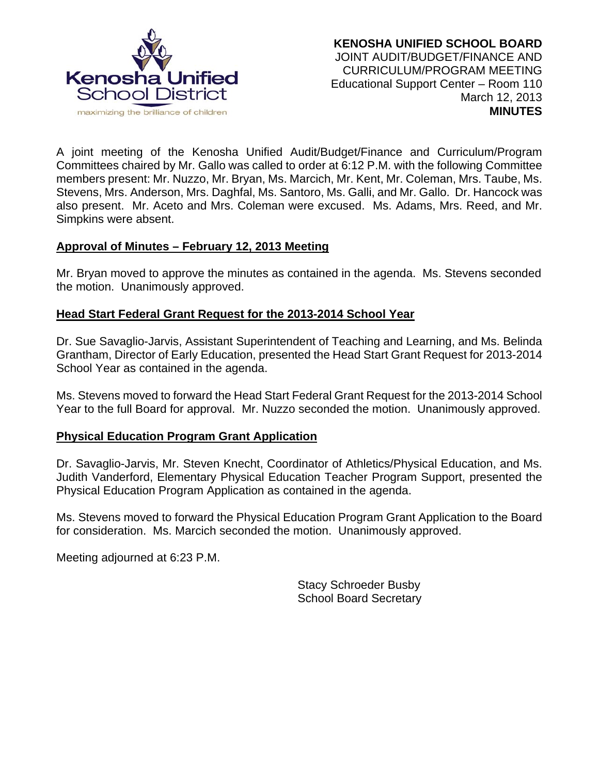

A joint meeting of the Kenosha Unified Audit/Budget/Finance and Curriculum/Program Committees chaired by Mr. Gallo was called to order at 6:12 P.M. with the following Committee members present: Mr. Nuzzo, Mr. Bryan, Ms. Marcich, Mr. Kent, Mr. Coleman, Mrs. Taube, Ms. Stevens, Mrs. Anderson, Mrs. Daghfal, Ms. Santoro, Ms. Galli, and Mr. Gallo. Dr. Hancock was also present. Mr. Aceto and Mrs. Coleman were excused. Ms. Adams, Mrs. Reed, and Mr. Simpkins were absent.

### **Approval of Minutes – February 12, 2013 Meeting**

Mr. Bryan moved to approve the minutes as contained in the agenda. Ms. Stevens seconded the motion. Unanimously approved.

# **Head Start Federal Grant Request for the 2013-2014 School Year**

Dr. Sue Savaglio-Jarvis, Assistant Superintendent of Teaching and Learning, and Ms. Belinda Grantham, Director of Early Education, presented the Head Start Grant Request for 2013-2014 School Year as contained in the agenda.

Ms. Stevens moved to forward the Head Start Federal Grant Request for the 2013-2014 School Year to the full Board for approval. Mr. Nuzzo seconded the motion. Unanimously approved.

### **Physical Education Program Grant Application**

Dr. Savaglio-Jarvis, Mr. Steven Knecht, Coordinator of Athletics/Physical Education, and Ms. Judith Vanderford, Elementary Physical Education Teacher Program Support, presented the Physical Education Program Application as contained in the agenda.

Ms. Stevens moved to forward the Physical Education Program Grant Application to the Board for consideration. Ms. Marcich seconded the motion. Unanimously approved.

Meeting adjourned at 6:23 P.M.

 Stacy Schroeder Busby School Board Secretary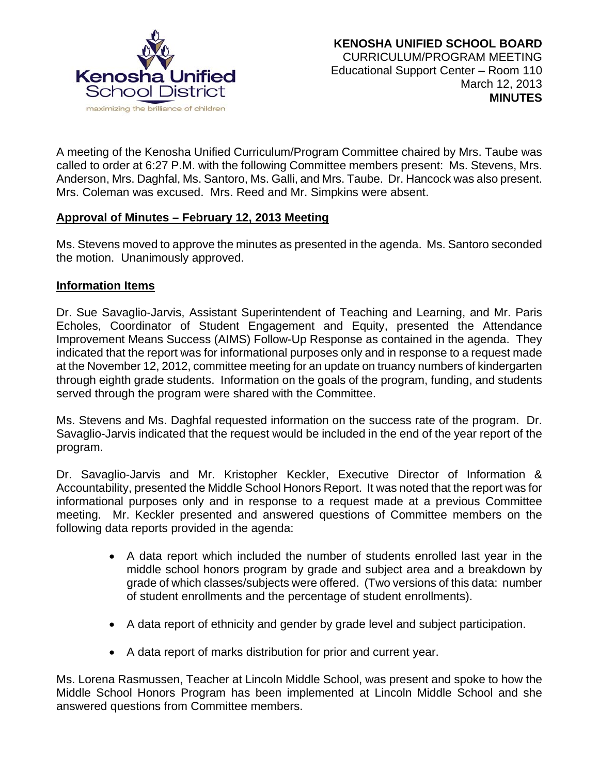

A meeting of the Kenosha Unified Curriculum/Program Committee chaired by Mrs. Taube was called to order at 6:27 P.M. with the following Committee members present: Ms. Stevens, Mrs. Anderson, Mrs. Daghfal, Ms. Santoro, Ms. Galli, and Mrs. Taube. Dr. Hancock was also present. Mrs. Coleman was excused. Mrs. Reed and Mr. Simpkins were absent.

# **Approval of Minutes – February 12, 2013 Meeting**

Ms. Stevens moved to approve the minutes as presented in the agenda. Ms. Santoro seconded the motion. Unanimously approved.

### **Information Items**

Dr. Sue Savaglio-Jarvis, Assistant Superintendent of Teaching and Learning, and Mr. Paris Echoles, Coordinator of Student Engagement and Equity, presented the Attendance Improvement Means Success (AIMS) Follow-Up Response as contained in the agenda. They indicated that the report was for informational purposes only and in response to a request made at the November 12, 2012, committee meeting for an update on truancy numbers of kindergarten through eighth grade students. Information on the goals of the program, funding, and students served through the program were shared with the Committee.

Ms. Stevens and Ms. Daghfal requested information on the success rate of the program. Dr. Savaglio-Jarvis indicated that the request would be included in the end of the year report of the program.

Dr. Savaglio-Jarvis and Mr. Kristopher Keckler, Executive Director of Information & Accountability, presented the Middle School Honors Report. It was noted that the report was for informational purposes only and in response to a request made at a previous Committee meeting. Mr. Keckler presented and answered questions of Committee members on the following data reports provided in the agenda:

- A data report which included the number of students enrolled last year in the middle school honors program by grade and subject area and a breakdown by grade of which classes/subjects were offered. (Two versions of this data: number of student enrollments and the percentage of student enrollments).
- A data report of ethnicity and gender by grade level and subject participation.
- A data report of marks distribution for prior and current year.

Ms. Lorena Rasmussen, Teacher at Lincoln Middle School, was present and spoke to how the Middle School Honors Program has been implemented at Lincoln Middle School and she answered questions from Committee members.